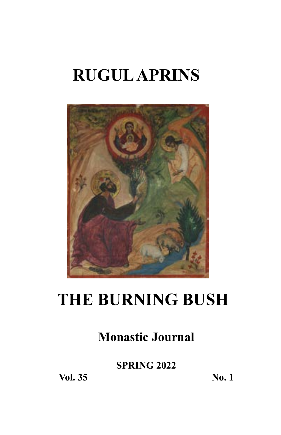# **RUGUL APRINS**



## **THE BURNING BUSH**

## **Monastic Journal**

**SPRING 2022**

Vol. 35 No. 1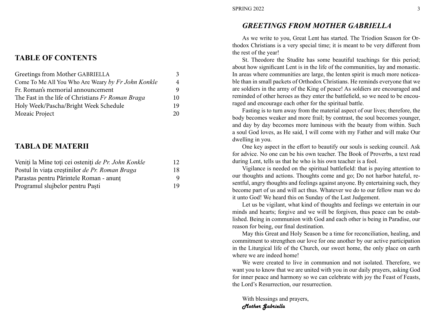### **TABLE OF CONTENTS**

| Greetings from Mother GABRIELLA                    | 3              |
|----------------------------------------------------|----------------|
| Come To Me All You Who Are Weary by Fr John Konkle | $\overline{4}$ |
| Fr. Roman's memorial announcement                  | 9              |
| The Fast in the life of Christians Fr Roman Braga  | 10             |
| Holy Week/Pascha/Bright Week Schedule              |                |
| Mozaic Project                                     | 20             |

### **TABLA DE MATERII**

| Veniți la Mine toți cei osteniți de Pr. John Konkle | 12 |
|-----------------------------------------------------|----|
| Postul în viața creștinilor de Pr. Roman Braga      | 18 |
| Parastas pentru Părintele Roman - anunț             | 9  |
| Programul slujbelor pentru Paști                    | 19 |

### *GREETINGS FROM MOTHER GABRIELLA*

As we write to you, Great Lent has started. The Triodion Season for Orthodox Christians is a very special time; it is meant to be very different from the rest of the year!

St. Theodore the Studite has some beautiful teachings for this period; about how significant Lent is in the life of the communities, lay and monastic. In areas where communities are large, the lenten spirit is much more noticeable than in small packets of Orthodox Christians. He reminds everyone that we are soldiers in the army of the King of peace! As soldiers are encouraged and reminded of other heroes as they enter the battlefield, so we need to be encouraged and encourage each other for the spiritual battle.

Fasting is to turn away from the material aspect of our lives; therefore, the body becomes weaker and more frail; by contrast, the soul becomes younger, and day by day becomes more luminous with the beauty from within. Such a soul God loves, as He said, I will come with my Father and will make Our dwelling in you.

One key aspect in the effort to beautify our souls is seeking council. Ask for advice. No one can be his own teacher. The Book of Proverbs, a text read during Lent, tells us that he who is his own teacher is a fool.

Vigilance is needed on the spiritual battlefield: that is paying attention to our thoughts and actions. Thoughts come and go; Do not harbor hateful, resentful, angry thoughts and feelings against anyone. By entertaining such, they become part of us and will act thus. Whatever we do to our fellow man we do it unto God! We heard this on Sunday of the Last Judgement.

Let us be vigilant, what kind of thoughts and feelings we entertain in our minds and hearts; forgive and we will be forgiven, thus peace can be established. Being in communion with God and each other is being in Paradise, our reason for being, our final destination.

May this Great and Holy Season be a time for reconciliation, healing, and commitment to strengthen our love for one another by our active participation in the Liturgical life of the Church, our sweet home, the only place on earth where we are indeed home!

We were created to live in communion and not isolated. Therefore, we want you to know that we are united with you in our daily prayers, asking God for inner peace and harmony so we can celebrate with joy the Feast of Feasts, the Lord's Resurrection, our resurrection.

With blessings and prayers, Mother Gabriella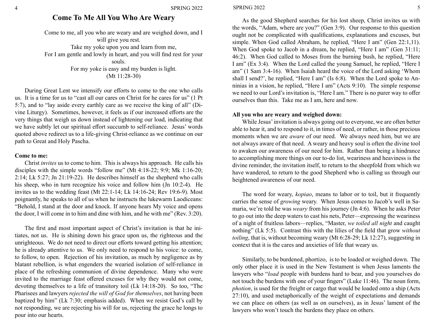### **Come To Me All You Who Are Weary**

Come to me, all you who are weary and are weighed down, and I will give you rest. Take my yoke upon you and learn from me, For I am gentle and lowly in heart, and you will find rest for your souls. For my yoke is easy and my burden is light.

(Mt 11:28-30)

During Great Lent we intensify our efforts to come to the one who calls us. It is a time for us to "cast all our cares on Christ for he cares for us" (1 Pt 5:7), and to "lay aside every earthly care as we receive the king of all" (Divine Liturgy). Sometimes, however, it feels as if our increased efforts are the very things that weigh us down instead of lightening our load, indicating that we have subtly let our spiritual effort succumb to self-reliance. Jesus' words quoted above redirect us to a life-giving Christ-reliance as we continue on our path to Great and Holy Pascha.

#### **Come to me:**

Christ *invites* us to come to him. This is always his approach. He calls his disciples with the simple words "follow me" (Mt 4:18-22; 9:9; Mk 1:16-20; 2:14; Lk 5:27; Jn 21:19-22). He describes himself as the shepherd who calls his sheep, who in turn recognize his voice and follow him (Jn 10:2-4). He invites us to the wedding feast (Mt 22:1-14; Lk 14:16-24; Rev 19:6-9). Most poignantly, he speaks to all of us when he instructs the lukewarm Laodiceans: "Behold, I stand at the door and knock. If anyone hears My voice and opens the door, I will come in to him and dine with him, and he with me" (Rev. 3:20).

The first and most important aspect of Christ's invitation is that he initiates, not us. He is shining down his grace upon us, the righteous and the unrighteous. We do not need to direct our efforts toward getting his attention; he is already attentive to us. We only need to respond to his voice: to come, to follow, to open. Rejection of his invitation, as much by negligence as by blatant rebellion, is what engenders the wearied isolation of self-reliance in place of the refreshing communion of divine dependence. Many who were invited to the marriage feast offered excuses for why they would not come, devoting themselves to a life of transitory toil (Lk 14:18-20). So too, "The Pharisees and lawyers *rejected the will of God for themselves*, not having been baptized by him" (Lk 7:30; emphasis added). When we resist God's call by not responding, we are rejecting his will for us, rejecting the grace he longs to pour into our hearts.

4 SPRING 2022 5

As the good Shepherd searches for his lost sheep, Christ invites us with the words, "Adam, where are you?" (Gen 3:9). Our response to this question ought not be complicated with qualifications, explanations and excuses, but simple. When God called Abraham, he replied, "Here I am" (Gen 22:1,11). When God spoke to Jacob in a dream, he replied, "Here I am" (Gen 31:11; 46:2). When God called to Moses from the burning bush, he replied, "Here I am" (Ex 3:4). When the Lord called the young Samuel, he replied, "Here I am" (1 Sam 3:4-16). When Isaiah heard the voice of the Lord asking 'Whom shall I send?', he replied, "Here I am" (Is 6:8). When the Lord spoke to Anninias in a vision, he replied, "Here I am" (Acts 9:10). The simple response we need to our Lord's invitation is, "Here I am." There is no purer way to offer ourselves than this. Take me as I am, here and now.

#### **All you who are weary and weighed down:**

While Jesus' invitation is always going out to everyone, we are often better able to hear it, and to respond to it, in times of need, or rather, in those precious moments when we are *aware* of our need. We always need him, but we are not always aware of that need. A weary and heavy soul is often the divine tool to awaken our awareness of our need for him. Rather than being a hindrance to accomplishing more things on our to-do list, weariness and heaviness is the divine reminder, the invitation itself, to return to the sheepfold from which we have wandered, to return to the good Shepherd who is calling us through our heightened awareness of our need.

The word for weary, *kopiao*, means to labor or to toil, but it frequently carries the sense of *growing* weary. When Jesus comes to Jacob's well in Samaria, we're told he was *weary* from his journey (Jn 4:6). When he asks Peter to go out into the deep waters to cast his nets, Peter—expressing the weariness of a night of fruitless labors—replies, "Master, *we toiled all night* and caught nothing" (Lk 5:5). Contrast this with the lilies of the field that grow *without toiling*, that is, without becoming weary (Mt 6:28-29; Lk 12:27), suggesting in context that it is the cares and anxieties of life that weary us.

Similarly, to be burdened, phortizo, is to be loaded or weighed down. The only other place it is used in the New Testament is when Jesus laments the lawyers who "*load* people with burdens hard to bear, and you yourselves do not touch the burdens with one of your fingers" (Luke 11:46). The noun form, *photion*, is used for the freight or cargo that would be loaded onto a ship (Acts 27:10), and used metaphorically of the weight of expectations and demands we can place on others (as well as on ourselves), as in Jesus' lament of the lawyers who won't touch the burdens they place on others.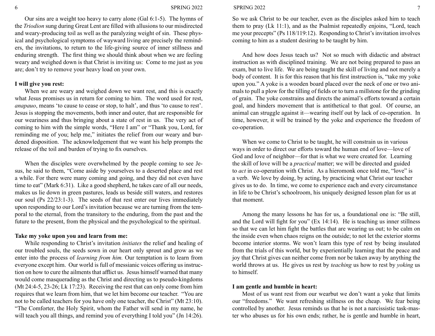Our sins are a weight too heavy to carry alone (Gal 6:1-5). The hymns of the *Triodion* sung during Great Lent are filled with allusions to our misdirected and weary-producing toil as well as the paralyzing weight of sin. These physical and psychological symptoms of wayward living are precisely the reminders, the invitations, to return to the life-giving source of inner stillness and enduring strength. The first thing we should think about when we are feeling weary and weighed down is that Christ is inviting us: Come to me just as you are; don't try to remove your heavy load on your own.

#### **I will give you rest:**

When we are weary and weighed down we want rest, and this is exactly what Jesus promises us in return for coming to him. The word used for rest, *anapauo*, means 'to cause to cease or stop, to halt', and thus 'to cause to rest'. Jesus is stopping the movements, both inner and outer, that are responsible for our weariness and thus bringing about a state of rest in us. The very act of coming to him with the simple words, "Here I am" or "Thank you, Lord, for reminding me of you; help me," initiates the relief from our weary and burdened disposition. The acknowledgement that we want his help prompts the release of the toil and burden of trying to fix ourselves.

When the disciples were overwhelmed by the people coming to see Jesus, he said to them, "Come aside by yourselves to a deserted place and rest a while. For there were many coming and going, and they did not even have time to eat" (Mark 6:31). Like a good shepherd, he takes care of all our needs, makes us lie down in green pastures, leads us beside still waters, and restores our soul (Ps 22/23:1-3). The seeds of that rest enter our lives immediately upon responding to our Lord's invitation because we are turning from the temporal to the eternal, from the transitory to the enduring, from the past and the future to the present, from the physical and the psychological to the spiritual.

#### **Take my yoke upon you and learn from me:**

While responding to Christ's invitation *initiates* the relief and healing of our troubled souls, the seeds sown in our heart only sprout and grow as we enter into the process of *learning from him.* Our temptation is to learn from everyone except him. Our world is full of messianic voices offering us instruction on how to cure the ailments that afflict us. Jesus himself warned that many would come masquerading as the Christ and directing us to pseudo-kingdoms (Mt 24:4-5, 23-26; Lk 17:23). Receiving the rest that can only come from him requires that we learn from him, that we let him become our teacher. "You are not to be called teachers for you have only one teacher, the Christ" (Mt 23:10). "The Comforter, the Holy Spirit, whom the Father will send in my name, he will teach you all things, and remind you of everything I told you" (Jn 14:26).

#### 6 SPRING 2022 SPRING 2022 SPRING 2022

So we ask Christ to be our teacher, even as the disciples asked him to teach them to pray (Lk 11:1), and as the Psalmist repeatedly enjoins, "Lord, teach me your precepts" (Ps 118/119:12). Responding to Christ's invitation involves coming to him as a student desiring to be taught by him.

And how does Jesus teach us? Not so much with didactic and abstract instruction as with disciplined training. We are not being prepared to pass an exam, but to live life. We are being taught the skill of living and not merely a body of content. It is for this reason that his first instruction is, "take my yoke upon you." A yoke is a wooden board placed over the neck of one or two animals to pull a plow for the tilling of fields or to turn a millstone for the grinding of grain. The yoke constrains and directs the animal's efforts toward a certain goal, and hinders movement that is antithetical to that goal. Of course, an animal can struggle against it—wearing itself out by lack of co-operation. In time, however, it will be trained by the yoke and experience the freedom of co-operation.

When we come to Christ to be taught, he will constrain us in various ways in order to direct our efforts toward the human end of love—love of God and love of neighbor—for that is what we were created for. Learning the skill of love will be a *practical* matter; we will be directed and guided to *act* in co-operation with Christ. As a hieromonk once told me, "love" is a verb. We love by doing, by acting, by practicing what Christ our teacher gives us to do. In time, we come to experience each and every circumstance in life to be Christ's schoolroom, his uniquely designed lesson plan for us at that moment.

Among the many lessons he has for us, a foundational one is: "Be still, and the Lord will fight for you" (Ex 14:14). He is teaching us inner stillness so that we can let him fight the battles that are wearing us out; to be calm on the inside even when chaos reigns on the outside; to not let the exterior storms become interior storms. We won't learn this type of rest by being insulated from the trials of this world, but by experientially learning that the peace and joy that Christ gives can neither come from nor be taken away by anything the world throws at us. He gives us rest by *teaching* us how to rest by *yoking* us to himself.

#### **I am gentle and humble in heart:**

Most of us want rest from our wearbut we don't want a yoke that limits our "freedoms." We want refreshing stillness on the cheap. We fear being controlled by another. Jesus reminds us that he is not a narcissistic task-master who abuses us for his own ends; rather, he is gentle and humble in heart,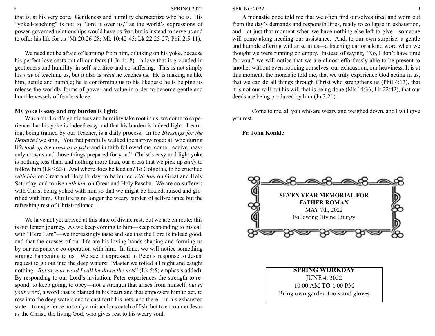#### 8 SPRING 2022

that is, at his very core. Gentleness and humility characterize who he is. His "yoked-teaching" is not to "lord it over us," as the world's expressions of power-governed relationships would have us fear, but is instead to serve us and to offer his life for us (Mt 20:26-28; Mk 10:42-45; Lk 22:25-27; Phil 2:5-11).

We need not be afraid of learning from him, of taking on his yoke, because his perfect love casts out all our fears (1 Jn 4:18)—a love that is grounded in gentleness and humility, in self-sacrifice and co-suffering. This is not simply his *way* of teaching us, but it also is *what* he teaches us. He is making us like him, gentle and humble; he is conforming us to his likeness; he is helping us release the worldly forms of power and value in order to become gentle and humble vessels of fearless love.

#### **My yoke is easy and my burden is light:**

When our Lord's gentleness and humility take root in us, we come to experience that his yoke is indeed easy and that his burden is indeed light. Learning, being trained by our Teacher, is a daily process. In the *Blessings for the Departed* we sing, "You that painfully walked the narrow road; all who during life *took up the cross as a yoke* and in faith followed me, come, receive heavenly crowns and those things prepared for you." Christ's easy and light yoke is nothing less than, and nothing more than, our cross that we pick up *daily* to follow him (Lk 9:23). And where does he lead us? To Golgotha, to be crucified *with him* on Great and Holy Friday, to be buried *with him* on Great and Holy Saturday, and to rise *with him* on Great and Holy Pascha. We are co-sufferers with Christ being yoked with him so that we might be healed, raised and glorified with him. Our life is no longer the weary burden of self-reliance but the refreshing rest of Christ-reliance.

We have not yet arrived at this state of divine rest, but we are en route; this is our lenten journey. As we keep coming to him—keep responding to his call with "Here I am"—we increasingly taste and see that the Lord is indeed good, and that the crosses of our life are his loving hands shaping and forming us by our responsive co-operation with him. In time, we will notice something strange happening to us. We see it expressed in Peter's response to Jesus' request to go out into the deep waters: "Master we toiled all night and caught nothing. *But at your word I will let down the nets*" (Lk 5:5; emphasis added). By responding to our Lord's invitation, Peter experiences the strength to respond, to keep going, to obey—not a strength that arises from himself, *but at your word*, a word that is planted in his heart and that empowers him to act, to row into the deep waters and to cast forth his nets, and there—in his exhausted state—to experience not only a miraculous catch of fish, but to encounter Jesus as the Christ, the living God, who gives rest to his weary soul.

#### SPRING 2022 9

A monastic once told me that we often find ourselves tired and worn out from the day's demands and responsibilities, ready to collapse in exhaustion, and—at just that moment when we have nothing else left to give—someone will come along needing our assistance. And, to our own surprise, a gentle and humble offering will arise in us—a listening ear or a kind word when we thought we were running on empty. Instead of saying, "No, I don't have time for you," we will notice that we are almost effortlessly able to be present to another without even noticing ourselves, our exhaustion, our heaviness. It is at this moment, the monastic told me, that we truly experience God acting in us, that we can do all things through Christ who strengthens us (Phil 4:13), that it is not our will but his will that is being done (Mk 14:36; Lk 22:42), that our deeds are being produced by him (Jn 3:21).

Come to me, all you who are weary and weighed down, and I will give you rest.

#### **Fr. John Konkle**



**SPRING WORKDAY** JUNE 4, 2022 10:00 AM TO 4:00 PM Bring own garden tools and gloves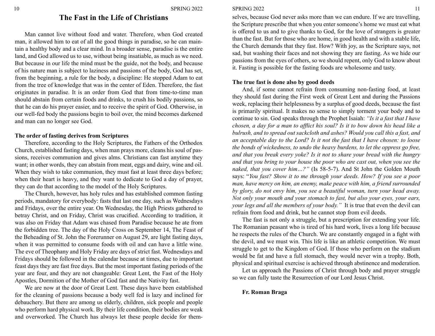### **The Fast in the Life of Christians**

Man cannot live without food and water. Therefore, when God created man, it allowed him to eat of all the good things in paradise, so he can maintain a healthy body and a clear mind. In a broader sense, paradise is the entire land, and God allowed us to use, without being insatiable, as much as we need. But because in our life the mind must be the guide, not the body, and because of his nature man is subject to laziness and passions of the body, God has set, from the beginning, a rule for the body, a discipline: He stopped Adam to eat from the tree of knowledge that was in the center of Eden. Therefore, the fast originates in paradise. It is an order from God that from time-to-time man should abstain from certain foods and drinks, to crush his bodily passions, so that he can do his prayer easier, and to receive the spirit of God. Otherwise, in our well-fed body the passions begin to boil over, the mind becomes darkened and man can no longer see God.

#### **The order of fasting derives from Scriptures**

Therefore, according to the Holy Scriptures, the Fathers of the Orthodox Church, established fasting days, when man prays more, cleans his soul of passions, receives communion and gives alms. Christians can fast anytime they want; in other words, they can abstain from meat, eggs and dairy, wine and oil. When they wish to take communion, they must fast at least three days before; when their heart is heavy, and they want to dedicate to God a day of prayer, they can do that according to the model of the Holy Scriptures.

The Church, however, has holy rules and has established common fasting periods, mandatory for everybody: fasts that last one day, such as Wednesdays and Fridays, over the entire year. On Wednesday, the High Priests gathered to betray Christ, and on Friday, Christ was crucified. According to tradition, it was also on Friday that Adam was chased from Paradise because he ate from the forbidden tree. The day of the Holy Cross on September 14, The Feast of the Beheading of St. John the Forerunner on August 29, are light fasting days, when it was permitted to consume foods with oil and can have a little wine. The eve of Theophany and Holy Friday are days of strict fast. Wednesdays and Fridays should be followed in the calendar because at times, due to important feast days they are fast free days. But the most important fasting periods of the year are four, and they are not changeable: Great Lent, the Fast of the Holy Apostles, Dormition of the Mother of God fast and the Nativity fast.

We are now at the door of Great Lent. These days have been established for the cleaning of passions because a body well fed is lazy and inclined for debauchery. But there are among us elderly, children, sick people and people who perform hard physical work. By their life condition, their bodies are weak and overworked. The Church has always let these people decide for them-

#### SPRING 2022 11

selves, because God never asks more than we can endure. If we are travelling, the Scripture prescribe that when you enter someone's home we must eat what is offered to us and to give thanks to God, for the love of strangers is greater than the fast. But for those who are home, in good health and with a stable life, the Church demands that they fast. How? With joy, as the Scripture says, not sad, but washing their faces and not showing they are fasting. As we hide our passions from the eyes of others, so we should repent, only God to know about it. Fasting is possible for the fasting foods are wholesome and tasty.

#### **The true fast is done also by good deeds**

And, if some cannot refrain from consuming non-fasting food, at least they should fast during the First week of Great Lent and during the Passions week, replacing their helplessness by a surplus of good deeds, because the fast is primarily spiritual. It makes no sense to simply torment your body and to continue to sin. God speaks through the Prophet Isaiah: *"Is it a fast that I have chosen, a day for a man to afflict his soul? Is it to bow down his head like a bulrush, and to spread out sackcloth and ashes? Would you call this a fast, and an acceptable day to the Lord? Is it not the fast that I have chosen: to loose the bonds of wickedness, to undo the heavy burdens, to let the oppress go free, and that you break every yoke? Is it not to share your bread with the hungry and that you bring to your house the poor who are cast out, when you see the naked, that you cover him…?"* (Is 58-5-7). And St John the Golden Mouth says: "*You fast? Show it to me through your deeds. How? If you see a poor man, have mercy on him, an enemy, make peace with him, a friend surrounded by glory, do not envy him, you see a beautiful woman, turn your head away. Not only your mouth and your stomach to fast, but also your eyes, your ears, your legs and all the members of your body."* It is true that even the devil can refrain from food and drink, but he cannot stop from evil deeds.

The fast is not only a struggle, but a prescription for extending your life. The Romanian peasant who is tired of his hard work, lives a long life because he respects the rules of the Church. We are constantly engaged in a fight with the devil, and we must win. This life is like an athletic competition. We must struggle to get to the Kingdom of God. If those who perform on the stadium would be fat and have a full stomach, they would never win a trophy. Both, physical and spiritual exercise is achieved through abstinence and moderation.

Let us approach the Passions of Christ through body and prayer struggle so we can fully taste the Resurrection of our Lord Jesus Christ.

#### **Fr. Roman Braga**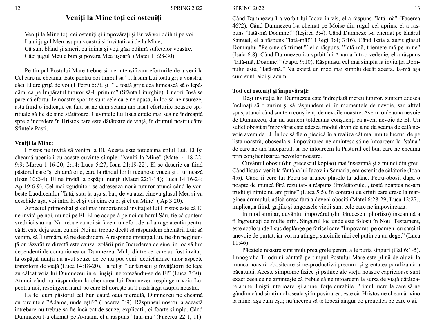### **Veniți la Mine toți cei osteniți**

Veniți la Mine toți cei osteniți și împovărați și Eu vă voi odihni pe voi. Luați jugul Meu asupra voastră și învățați-vă de la Mine, Că sunt blând și smerit cu inima și veți găsi odihnă sufletelor voastre. Căci jugul Meu e bun și povara Mea ușoară. (Matei 11:28-30).

Pe timpul Postului Mare trebue să ne intensificăm eforturile de a veni la Cel care ne cheamă. Este pentru noi timpul să "... lăsăm Lui toată grija voastră, căci El are grijă de voi (1 Petru 5:7), și "... toată grija cea lumească să o lepădăm, ca pe Împăratul tuturor să-L primim" (Sfânta Liturghie). Uneori, însă se pare că eforturile noastre sporite sunt cele care ne apasă, în loc să ne ușureze, asta fiind o indicație că fără să ne dăm seama am lăsat eforturile noastre spirituale să fie de sine stătătoare. Cuvintele lui Iisus citate mai sus ne îndreaptă spre o încredere în Hristos care este dătătoare de viață, în drumul nostru către Sfintele Paști.

#### **Veniți la Mine:**

Hristos ne invită să venim la El. Acesta este totdeauna stilul Lui. El Își cheamă ucenicii cu aceste cuvinte simple: "veniți la Mine" (Matei 4-18-22; 9:9; Marcu 1:16-20; 2:14; Luca 5:27; Ioan 21:19-22). El se descrie ca fiind păstorul care își chiamă oile, care la rândul lor Îi recunosc vocea și Îl urmează (Ioan 10:2-4). El ne invită la ospățul nunții (Matei 22:1-14); Luca 14:16-24; Ap 19:6-9). Cel mai zguduitor, se adresează nouă tuturor atunci când le vorbește Laodicenilor "Iată, stau la ușă și bat; de va auzi cineva glasul Meu și va deschide ușa, voi intra la el și voi cina cu el și el cu Mine" ( Ap 3:20).

Aspectul primordial și cel mai important al invitației lui Hristos este că El ne invită pe noi, nu noi pe El. El ne acoperă pe noi cu harul Său, fie că suntem vrednici sau nu. Nu trebue ca noi să facem un efort de a-I atrage atenția pentru că El este deja atent cu noi. Noi nu trebue decât să răspundem chemării Lui: să venim, să Îl urmăm, să ne deschidem. A respinge invitația Lui, fie din neglijență or răzvrătire directă este cauza izolării prin încrederea de sine, în loc să fim dependenți de comuniunea cu Dumnezeu. Mulți dintre cei care au fost invitați la ospățul nunții au avut scuze de ce nu pot veni, dedicânduse unor aspecte tranzitorii de viață (Luca 14:18-20). La fel și "Iar fariseii și învățătorii de lege au călcat voia lui Dumnezeu în ei înșiși, nebotezându-se de El" (Luca 7:30). Atunci când nu răspundem la chemarea lui Dumnezeu respingem voia Lui pentru noi, respingem harul pe care El dorește să îl răsfrângă asupra noastră.

La fel cum păstorul cel bun caută oaia pierdută, Dumnezeu ne cheamă cu cuvintele "Adame, unde ești?" (Facerea 3:9). Răspunsul nostru la această întrebare nu trebue să fie încărcat de scuze, explicații, ci foarte simplu. Când Dumnezeu l-a chemat pe Avraam, el a răspuns "Iată-mă" (Facerea 22:1, 11).

#### 12 SPRING 2022 SPRING 2022 13

Când Dumnezeu I-a vorbit lui Iacov în vis, el a răspuns "Iată-mă" (Facerea 46?2). Când Dumnezeu l-a chemat pe Moise din rugul cel aprins, el a răspuns "Iată-mă Doamne!" (Ieșirea 3:4). Când Dumneze l-a chemat pe tânărul Samuel, el a răspuns "Iată-mă!" 1Regi 3:4; 3:16). Când Isaia a auzit glasul Domnului "Pe cine să trimet?" el a răspuns, "Iată-mă, triemete-mă pe mine" (Isaia 6:8). Când Dumnezeu i-a vprbit lui Anania într-o vedenie, el a răspuns "Iată-mă, Doamne!" (Fapte 9:10). Răspunsul cel mai simplu la invitația Domnului este, "Iată-mă." Nu există un mod mai simplu decât acesta. Ia-mă așa cum sunt, aici și acum.

#### **Toți cei osteniți și împovărați:**

Deși invitația lui Dumnezeu este îndreptată mereu tuturor, suntem adesea înclinați să o auzim și să răspundem ei, în momentele de nevoie, sau altfel spus, atunci când suntem conștienți de nevoile noastre. Avem totdeauna nevoie de Dumnezeu, dar nu suntem totdeauna conștienți că avem nevoie de El. Un suflet obosit și împovărat este adesea modul divin de a ne da seama de câtă nevoie avem de El. În loc să fie o piedică în a realiza cât mai multe lucruri de pe lista noastră, oboseala și împovărarea ne amintesc să ne întoarcem la "stâna" de care ne-am îndepărtat, să ne întoarcem la Păstorul cel bun care ne cheamă prin conștientizarea nevoilor noastre.

Cuvântul obosit (din grecescul kopiao) mai înseamnă și a munci din greu. Când Iisus a venit la fântâna lui Iacov în Samaria, era ostenit de călătorie (Ioan 4:6). Când îi cere lui Petru să arunce plasele la adânc, Petru-obosit după o noapte de muncă fără rezultat- a răspuns !Învățătorule, , toată noaptea ne-am trudit și nimic nu am prins" (Luca 5:5), în contrast cu crinii care cresc la marginea drumului, adică cresc fără a deveni obosiți (Matei 6:28-29; Luca 12:27), implicația fiind, grijile și angoasele vieții sunt cele care ne împovărează.

În mod similar, cuvântul împovărat (din Grecescul phortizo) înseamnă a fi îngreunați de multe griji. Singurul loc unde este folosit în Noul Testament, este acolo unde Iisus deplânge pe farisei care "Împovărați pe oameni cu sarcini anevoie de purtat, iar voi nu atingeți sarcinile nici cel puțin cu un deget" (Luca 11:46).

Păcatele noastre sunt mult prea grele pentru a le purta singuri (Gal 6:1-5). Imnografia Triodului cântată pe timpul Postului Mare este plină de aluzii la munca noastră obositoare și ne-productivă precum și greutatea paralizantă a păcatului. Aceste simptome fizice și psihice ale vieții noastre capricioase sunt exact ceea ce ne amintește că trebue să ne întoarcem la sursa de viață dătătoare a unei liniști interioare și a unei forțe durabile. Primul lucru la care să ne gândim când simțim oboseala și împovărarea, este că Hristos ne cheamă: vino la mine, așa cum ești; nu încerca să te lepezi singur de greutatea pe care o ai.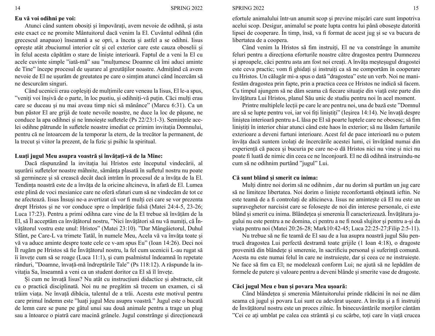#### **Eu vă voi odihni pe voi:**

Atunci când suntem obosiți și împovărați, avem nevoie de odihnă, și asta este exact ce ne promite Mântuitorul dacă venim la El. Cuvântul odihnă (din grecescul anapauo) înseamnă a se opri, a înceta și astfel a se odihni. Iisus oprește atât zbuciumul interior cât și cel exterior care este cauza oboselii și în felul acesta căpătăm o stare de liniște interioară. Faptul de a veni la El cu acele cuvinte simple "iată-mă" sau "mulțumesc Doamne că îmi aduci aminte de Tine" începe procesul de ușurare al greutăților noastre. Admițând că avem nevoie de El ne ușurăm de greutatea pe care o simțim atunci când încercăm să ne descurcăm singuri.

Când ucenicii erau copleșiți de mulțimile care veneau la Iisus, El le-a spus, "veniți voi înșivă de o parte, în loc pustiu, și odihniți-vă puțin. Căci mulți erau care se duceau și nu mai aveau timp nici să mănânce" (Marcu 6:31). Ca un bun păstor El are grijă de toate nevoile noastre, ne duce la loc de pășune, ne conduce la apa odihnei și ne înnoiește sufletele (Ps 22/23:1-3). Semințele acelei odihne pătrunde în sufletele noastre imediat ce primim invitația Domnului, pentru că ne întoarcem de la temporar la etern, de la trecător la permanent, de la trecut și viitor la prezent, de la fizic și psihic la spiritual.

#### **Luați jugul Meu asupra voastră și învățați-vă de la Mine:**

Dacă răspunzând la invitația lui Hristos este începutul vindecării, al ușurării sufletelor noastre mâhnite, sămânța plasată în sufletul nostru nu poate să germineze și să crească decât dacă intrăm în procesul de a învăța de la El. Tendința noastră este de a învăța de la oricine altcineva, în afară de El. Lumea este plină de voci mesianice care ne oferă sfaturi cum să ne vindecăm de tot ce ne afectează. Iisus Însuși ne-a avertizat că vor fi mulți cei care se vor prezenta drept Hristos și ne vor conduce spre o împărăție falsă (Matei 24:4-5, 23-26; Luca 17:23). Pentru a primi odihna care vine de la El trebue să învățăm de la El, să Îl acceptăm ca învățătorul nostru, "Nici învățători să nu vă numiți, că Învățătorul vostru este unul: Hristos" (Matei 23:10). "Dar Mângâietorul, Duhul Sfânt, pe Care-L va trimete Tatăl, în numele Meu, Acela vă va învăța toate și vă va aduce aminte despre toate cele ce v-am spus Eu" (Ioan 14:26). Deci noi Îl rugăm pe Hristos să fie Învățătorul nostru, la fel cum ucenicii L-au rugat să îi învețe cum să se roage (Luca 11:1), și cum psalmistul îndeamnă în repetate rânduri, "Doamne, învață-mă îndreptările Tale" (Ps 118:12). A răspunde la invitația Sa, înseamnă a veni ca un student doritor ca El să îl învețe.

Și cum ne învață Iisus? Nu atât cu instrucțiuni didactice și abstracte, cât cu o practică disciplinată. Noi nu ne pregătim să trecem un examen, ci să trăim viața. Ne învață dibăcia, talentul de a trăi. Acesta este motivul pentru care primul îndemn este "luați jugul Meu asupra voastră." Jugul este o bucată de lemn care se pune pe gâtul unui sau două animale pentru a trage un plug sau a întoarce o piatră care macină grânele. Jugul constrânge și direcționează

#### 14 SPRING 2022 SPRING 2022 SPRING 2022 15

efortule animalului într-un anumit scop și previne mișcări care sunt împotriva acelui scop. Desigur, animalul se poate lupta contra lui până obosește datorită lipsei de cooperare. În timp, însă, va fi format de acest jug și se va bucura de libertatea de a coopera.

Când venim la Hristos să fim instruiți, El ne va constrânge în anumite feluri pentru a direcționa eforturile noastre către dragostea pentru Dumnezeu și aproapele, căci pentru asta am fost noi creați. A învăța meșteșugul dragostei este ceva practic; vom fi ghidați și instruiți ca să ne comportăm în cooperare cu Hristos. Un călugăr mi-a spus o dată "dragostea" este un verb. Noi ne manifestăm dragostea prin fapte, prin a practica ceea ce Hristos ne indică să facem. Cu timpul ajungem să ne dăm seama că fiecare situație din viață este parte din învățătura Lui Hristos, planul Său unic de studiu pentru noi în acel moment.

Printre multiplele lecții pe care le are pentru noi, una de bază este "Domnul are să se lupte pentru voi, iar voi fiți liniștiți" (Ieșirea 14:14). Ne învață despre liniștea interioară pentru a-L lăsa pe El să poarte luptele care ne obosesc; să fim liniștiți în interior chiar atunci când este haos în exterior; să nu lăsăm furtunile exterioare a deveni furtuni interioare. Acest fel de pace interioară nu o putem învăța dacă suntem izolați de încercările acestei lumi, ci învățând numai din experiență că pacea și bucuria pe care ne-o dă Hristos nici nu vine și nici nu poate fi luată de nimic din ceea ce ne înconjoară. El ne dă odihnă instruindu-ne cum să ne odihnim purtând "jugul" Lui.

#### **Că sunt blând și smerit cu inima:**

Mulți dintre noi dorim să ne odihnim , dar nu dorim să purtăm un jug care să ne limiteze libertatea. Noi dorim o liniște reconfortantă obținută ieftin. Ne este teamă de a fi controlați de alticineva. Iisus ne amintește că El nu este un supraveghetor narcisist care se folosește de noi din interese personale, ci este blând și smerit cu inima. Blândețea și smerenia Îl caracterizează. Învățătura jugului nu este pentru a ne domina, ci pentru a ne fi nouă slujitor și pentru a-și da viața pentru noi (Matei 20:26-28; Mark10:42-45; Luca 22:25-27;Filip 2:5-11).

Nu trebue să ne fie teamă de El sau de a lua asupra noastră jugul Său pentrucă dragostea Lui perfectă destramă toate grijile (1 Ioan 4:18), o dragoste provenită din blândețe și smerenie, în sacrificiu personal și suferință comună. Acesta nu este numai felul în care ne instruiește, dar și ceea ce ne instruiește. Ne face să fim ca El; ne modelează conform Lui; ne ajută să ne lepădăm de formele de putere și valoare pentru a deveni blânde și smerite vase de dragoste.

#### **Căci jugul Meu e bun și povara Mea ușoară:**

Când blândețea și smerenia Mântuitorului prinde rădăcini în noi ne dăm seama că jugul și povara Lui sunt cu adevărat ușoare. A învăța și a fi instruiți de Învățătorul nostru este un proces zilnic. În binecuvântările morților cântăm "Cei ce ați umblat pe calea cea strâmtă și cu scârbe, toți care în viață crucea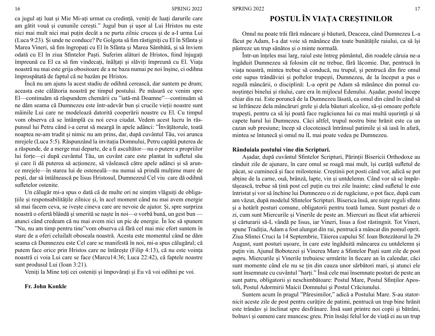ca jugul ați luat și Mie Mi-ați urmat cu credință, veniți de luați darurile care am gătit vouă și cununile cerești." Jugul bun și ușor al Lui Hristos nu este nici mai mult nici mai puțin decât a ne purta zilnic crucea și de a-I urma Lui (Luca 9:23). Și unde ne conduce? Pe Golgota să fim răstigniți cu El în Sfânta și Marea Vineri, să fim îngropați cu El în Sfânta și Marea Sâmbătă, și să înviem odată cu El în ziua Sfintelor Paști. Suferim alături de Hristos, fiind înjugați împreună cu El ca să fim vindecați, înălțați și slăviți împreună cu El. Viața noastră nu mai este grija obositoare de a ne baza numai pe noi înșine, ci odihna împrospătată de faptul că ne bazăm pe Hristos.

Încă nu am ajuns la acest stadiu de odihnă cerească, dar suntem pe drum; aceasta este călătoria noastră pe timpul postului. Pe măsură ce venim spre El—continuăm să răspundem chemării cu "iată-mă Doamne"—continuăm să ne dăm seama că Dumnezeu este într-adevăr bun și crucile vieții noastre sunt mâinile Lui care ne modelează datorită cooperării noastre cu El. Cu timpul vom observa că se întâmplă cu noi ceva ciudat. Vedem acest lucru în răspunsul lui Petru când i-a cerut să meargă în apele adânci: "Învățătorule, toată noaptea ne-am trudit și nimic nu am prins, dar, după cuvântul Tău, voi arunca mrejele (Luca 5:5). Răspunzând la invitația Domnului, Petru capătă puterea de a răspunde, de a merge mai departe, de a fi ascultător—nu o putere a propriilor lui forțe—ci după cuvântul Tău, un cuvânt care este plantat în sufletul său și care îi dă puterea să acționeze, să vâslească către apele adânci și să arunce mrejele—în starea lui de osteneală—nu numai să prindă mulțime mare de pești, dar să întâlnească pe Iisus Hristosul, Dumnezeul Cel viu care dă odihnă sufletelor ostenite.

Un călugăr mi-a spus o dată că de multe ori ne simțim vlăguiți de obligațiile și responsabilitățile zilnice și, în acel moment când nu mai avem energie să mai facem ceva, se ivește cineva care are nevoie de ajutor. Şi, spre surpriza noastră o ofertă blândă și smerită se naște în noi—o vorbă bună, un gest bun atunci când credeam că nu mai avem nici un pic de energie. În loc să spunem "Nu, nu am timp pentru tine"vom observa că fără cel mai mic efort suntem în stare de a oferi celuilalt oboseala noastră. Acesta este momentul când ne dăm seama că Dumnezeu este Cel care se manifestă în noi, mi-a spus călugărul; că putem face orice prin Hristos care ne întărește (Filip 4:13), că nu este voința noastră ci voia Lui care se face (Marcu14:36; Luca 22:42), că faptele noastre sunt produsul Lui (Ioan 3:21).

Veniți la Mine toți cei osteniți și împovărați și Eu vă voi odihni pe voi.

#### **Fr. John Konkle**

### **POSTUL ÎN VIAȚA CREȘTINILOR**

Omul nu poate trăi fără mâncare și băutură, Deaceea, când Dumnezeu L-a făcut pe Adam, I-a dat voie să mănânce din toate bunătățile raiului, ca să își păstreze un trup sănătos și o minte normală.

Într-un înțeles mai larg, raiul este întreg pământul, din roadele căruia ne-a îngăduit Dumnezeu să folosim cât ne trebue, fără lăcomie. Dar, pentrucă în viața noastră, mintea trebue să conducă, nu trupul, și pentrucă din fire omul este supus trândăviei și poftelor trupești, Dumnezeu, de la început a pus o regulă mâncării, o disciplină: L-a oprit pe Adam să mănânce din pomul cunoștinței binelui și răului, care era în mijlocul Edenului. Așadar, postul începe chiar din rai. Este poruncă de la Dumnezeu lăsată, ca omul din când în când să se înfrâneze dela mâncăruri grele și dela băuturi alcolice, să-și omoare poftele trupești, pentru ca să își poată face rugăciunea lui cu mai multă ușurință și să capete harul lui Dumnezeu. Căci altfel, trupul nostru bine hrănit este ca un cazan sub presiune; încep să clocotească întrânsul patimile și să iasă în afară, mintea se întunecă și omul nu îL mai poate vedea pe Dumnezeu.

#### **Rânduiala postului vine din Scripturi.**

Așadar, după cuvântul Sfintelor Scripturi, Părinții Bisericii Orthodoxe au rânduit zile de ajunare, în care omul se roagă mai mult, își curăță sufletul de păcat, se cuminecă și face milostenie. Creștinii pot posti când vor, adică se pot abține de la carne, ouă, brânză, lapte, vin și untdelemn. Când vor să se împărtășească, trebue să țină post cel puțin cu trei zile înainte; când sufletul le este întristat și vor să închine lui Dumnezeu o zi de rugăciune, o pot face, după cum am văzut, după modelul Sfintelor Scripturi. Biserica însă, are niște reguli sfinte și a hotărît posturi comune, obligatorii pentru toată lumea. Sunt posturi de o zi, cum sunt Miercurile și Vinerile de peste an. Miercuri au făcut sfat arhiereii și cărturarii să-L vândă pe Iisus, iar Vineri, Iisus a fost răstingnit. Tot Vineri, spune Tradiția, Adam a fost alungat din rai, pentrucă a mâncat din pomul oprit. Ziua Sfintei Cruci la 14 Septembrie, Tăierea capului Sf. Ioan Botezătorul la 29 August, sunt posturi ușoare, în care este îngăduită mâncarea cu untdelemn și puțin vin. Ajunul Bobotezei și Vinerea Mare a Sfintelor Paști sunt zile de post aspru. Miercurile și Vinerile trebuiesc urmărite în fiecare an în calendar, căci sunt momente când ele nu se țin din cauza unor sărbători mari, și atunci ele sunt însemnate cu cuvântul "harți." Însă cele mai însemnate posturi de peste an sunt patru, obligatorii și neschimbătoare: Postul Mare, Postul Sfinților Apostoli, Postul Adormirii Maicii Domnului și Postul Crăciunului.

Suntem acum în pragul "Păresimilor," adică a Postului Mare. S-au statornicit aceste zile de post pentru curățire de patimi, pentrucă un trup bine hrănit este trândav și înclinat spre desfrânare. Însă sunt printre noi copii și bătrâni, bolnavi și oameni care muncesc greu. Prin însăși felul lor de viață ei au un trup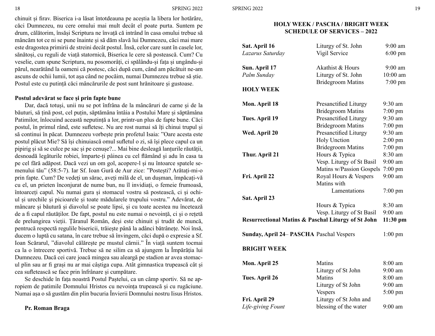chinuit și firav. Biserica i-a lăsat întotdeauna pe aceștia la libera lor hotărâre, căci Dumnezeu, nu cere omului mai mult decât el poate purta. Suntem pe drum, călătorim, însăși Scriptura ne învață că intrând în casa omului trebue să mâncăm tot ce ni se pune înainte și să dăm slavă lui Dumnezeu, căci mai mare este dragostea primirii de streini decât postul. Însă, celor care sunt în casele lor, sănătoși, cu reguli de viață statornică, Biserica le cere să postească. Cum? Cu veselie, cum spune Scriptura, nu posomorâți, ci spălându-și fața și ungându-și părul, nearătând la oameni că postesc, căci după cum, când am păcătuit ne-am ascuns de ochii lumii, tot așa când ne pocăim, numai Dumnezeu trebue să știe. Postul este cu putință căci mâncărurile de post sunt hrănitoare și gustoase.

#### **Postul adevărat se face și prin fapte bune**

Dar, dacă totuși, unii nu se pot înfrâna de la mâncăruri de carne și de la băuturi, să țină post, cel puțin, săptămâna întâia a Postului Mare și săptămâna Patimilor, înlocuind această neputință a lor, printr-un plus de fapte bune. Căci postul, în primul rând, este sufletesc. Nu are rost numai să îți chinui trupul și să continui în păcat. Dumnezeu vorbește prin profetul Isaia: "Oare acesta este postul plăcut Mie? Să își chinuiască omul sufletul o zi, să își plece capul ca un pipirig și să se culce pe sac și pe cenușe?... Mai bine desleagă lanțurile răutății, desnoadă legăturile robiei, împarte-ți pâinea cu cel flămând și adu în casa ta pe cel fără adăpost. Dacă vezi un om gol, acopere-l și nu întoarce spatele semenului tău" (58:5-7). Iar Sf. Ioan Gură de Aur zice: "Postești? Arătați-mi-o prin fapte. Cum? De vedeți un sărac, aveți milă de el, un dușman, împăcați-vă cu el, un prieten înconjurat de nume bun, nu îl invidiați, o femeie frumoasă, întoarceți capul. Nu numai gura și stomacul vostru să postească, ci și ochiul și urechile și picioarele și toate mădularele trupului vostru." Adevărat, de mâncare și băutură și diavolul se poate lipsi, și cu toate acestea nu încetează de a fi capul răutăților. De fapt, postul nu este numai o nevoință, ci și o rețetă de prelungirea vieții. Țăranul Român, deși este chinuit și trudit de muncă, pentrucă respectă regulile bisericii, trăiește până la adânci bătrânețe. Noi însă, ducem o luptă cu satana, în care trebue să învingem, căci după o expresie a Sf. Ioan Scărarul, "diavolul călărește pe mustul cărnii." În viață suntem tocmai ca la o întrecere sportivă. Trebue să ne silim ca să ajungem la Împărăția lui Dumnezeu. Dacă cei care joacă mingea sau aleargă pe stadion ar avea stomacul plin sau ar fi grași nu ar mai câștiga cupa. Atât gimnastica trupească cât și cea sufletească se face prin înfrânare și cumpătare.

Se deschide în fața noastră Postul Paștelui, ca un câmp sportiv. Să ne apropiem de patimile Domnului Hristos cu nevoința trupească și cu rugăciune. Numai așa o să gustăm din plin bucuria Învierii Domnului nostru Iisus Hristos.

**Pr. Roman Braga**

#### **HOLY WEEK / PASCHA / BRIGHT WEEK SCHEDULE OF SERVICES – 2022**

| Sat. April 16                                                 | Liturgy of St. John       | 9:00 am              |
|---------------------------------------------------------------|---------------------------|----------------------|
| Lazarus Saturday                                              | Vigil Service             | $6:00 \text{ pm}$    |
| Sun. April 17                                                 | Akathist & Hours          | $9:00$ am            |
| Palm Sunday                                                   | Liturgy of St. John       | $10:00$ am           |
|                                                               | <b>Bridegroom Matins</b>  | $7:00$ pm            |
| <b>HOLY WEEK</b>                                              |                           |                      |
| Mon. April 18                                                 | Presanctified Liturgy     | 9:30 am              |
|                                                               | <b>Bridegroom Matins</b>  | $7:00$ pm            |
| Tues. April 19                                                | Presanctified Liturgy     | 9:30 am              |
|                                                               | <b>Bridegroom Matins</b>  | 7:00 pm              |
| Wed. April 20                                                 | Presanctified Liturgy     | 9:30 am              |
|                                                               | <b>Holy Unction</b>       | $2:00$ pm            |
|                                                               | <b>Bridegroom Matins</b>  | 7:00 pm              |
| Thur. April 21                                                | Hours & Typica            | 8:30 am              |
|                                                               | Vesp. Liturgy of St Basil | $9:00$ am            |
|                                                               | Matins w/Passion Gospels  | $7:00$ pm            |
| Fri. April 22                                                 | Royal Hours & Vespers     | $9:00$ am            |
|                                                               | Matins with               |                      |
|                                                               | Lamentations              | $7:00 \text{ pm}$    |
| Sat. April 23                                                 |                           |                      |
|                                                               | Hours & Typica            | 8:30 am<br>$9:00$ am |
|                                                               | Vesp. Liturgy of St Basil |                      |
| <b>Resurrectional Matins &amp; Paschal Liturgy of St John</b> |                           | $11:30$ pm           |
| Sunday, April 24– PASCHA Paschal Vespers                      |                           | $1:00$ pm            |
| <b>BRIGHT WEEK</b>                                            |                           |                      |
| Mon. April 25                                                 | Matins                    | 8:00 am              |
|                                                               | Liturgy of St John        | $9:00$ am            |
| Tues. April 26                                                | Matins                    | 8:00 am              |
|                                                               | Liturgy of St John        | 9:00 am              |
|                                                               | Vespers                   | 5:00 pm              |
| Fri. April 29                                                 | Liturgy of St John and    |                      |
| Life-giving Fount                                             | blessing of the water     | $9:00$ am            |